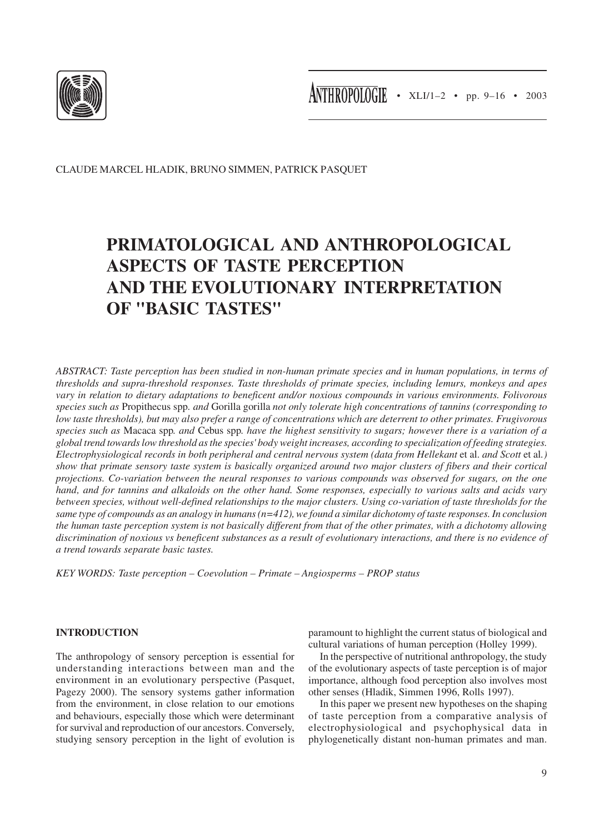

CLAUDE MARCEL HLADIK, BRUNO SIMMEN, PATRICK PASQUET

# **PRIMATOLOGICAL AND ANTHROPOLOGICAL ASPECTS OF TASTE PERCEPTION AND THE EVOLUTIONARY INTERPRETATION OF "BASIC TASTES"**

*ABSTRACT: Taste perception has been studied in non-human primate species and in human populations, in terms of thresholds and supra-threshold responses. Taste thresholds of primate species, including lemurs, monkeys and apes vary in relation to dietary adaptations to beneficent and/or noxious compounds in various environments. Folivorous species such as* Propithecus spp*. and* Gorilla gorilla *not only tolerate high concentrations of tannins (corresponding to low taste thresholds), but may also prefer a range of concentrations which are deterrent to other primates. Frugivorous species such as* Macaca spp*. and* Cebus spp*. have the highest sensitivity to sugars; however there is a variation of a global trend towards low threshold as the species' body weight increases, according to specialization of feeding strategies. Electrophysiological records in both peripheral and central nervous system (data from Hellekant* et al. *and Scott* et al*.) show that primate sensory taste system is basically organized around two major clusters of fibers and their cortical projections. Co-variation between the neural responses to various compounds was observed for sugars, on the one hand, and for tannins and alkaloids on the other hand. Some responses, especially to various salts and acids vary between species, without well-defined relationships to the major clusters. Using co-variation of taste thresholds for the same type of compounds as an analogy in humans (n=412), we found a similar dichotomy of taste responses. In conclusion the human taste perception system is not basically different from that of the other primates, with a dichotomy allowing discrimination of noxious vs beneficent substances as a result of evolutionary interactions, and there is no evidence of a trend towards separate basic tastes.*

*KEY WORDS: Taste perception – Coevolution – Primate – Angiosperms – PROP status*

# **INTRODUCTION**

The anthropology of sensory perception is essential for understanding interactions between man and the environment in an evolutionary perspective (Pasquet, Pagezy 2000). The sensory systems gather information from the environment, in close relation to our emotions and behaviours, especially those which were determinant for survival and reproduction of our ancestors. Conversely, studying sensory perception in the light of evolution is

paramount to highlight the current status of biological and cultural variations of human perception (Holley 1999).

In the perspective of nutritional anthropology, the study of the evolutionary aspects of taste perception is of major importance, although food perception also involves most other senses (Hladik, Simmen 1996, Rolls 1997).

In this paper we present new hypotheses on the shaping of taste perception from a comparative analysis of electrophysiological and psychophysical data in phylogenetically distant non-human primates and man.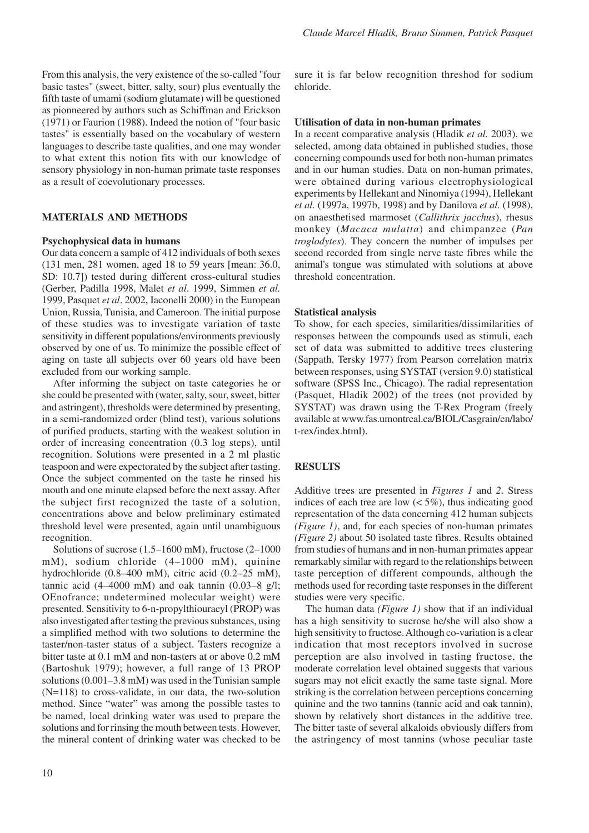From this analysis, the very existence of the so-called "four basic tastes" (sweet, bitter, salty, sour) plus eventually the fifth taste of umami (sodium glutamate) will be questioned as pionneered by authors such as Schiffman and Erickson (1971) or Faurion (1988). Indeed the notion of "four basic tastes" is essentially based on the vocabulary of western languages to describe taste qualities, and one may wonder to what extent this notion fits with our knowledge of sensory physiology in non-human primate taste responses as a result of coevolutionary processes.

## **MATERIALS AND METHODS**

#### **Psychophysical data in humans**

Our data concern a sample of 412 individuals of both sexes (131 men, 281 women, aged 18 to 59 years [mean: 36.0, SD: 10.7]) tested during different cross-cultural studies (Gerber, Padilla 1998, Malet *et al*. 1999, Simmen *et al.* 1999, Pasquet *et al*. 2002, Iaconelli 2000) in the European Union, Russia, Tunisia, and Cameroon. The initial purpose of these studies was to investigate variation of taste sensitivity in different populations/environments previously observed by one of us. To minimize the possible effect of aging on taste all subjects over 60 years old have been excluded from our working sample.

After informing the subject on taste categories he or she could be presented with (water, salty, sour, sweet, bitter and astringent), thresholds were determined by presenting, in a semi-randomized order (blind test), various solutions of purified products, starting with the weakest solution in order of increasing concentration (0.3 log steps), until recognition. Solutions were presented in a 2 ml plastic teaspoon and were expectorated by the subject after tasting. Once the subject commented on the taste he rinsed his mouth and one minute elapsed before the next assay. After the subject first recognized the taste of a solution, concentrations above and below preliminary estimated threshold level were presented, again until unambiguous recognition.

Solutions of sucrose (1.5–1600 mM), fructose (2–1000 mM), sodium chloride (4–1000 mM), quinine hydrochloride (0.8–400 mM), citric acid (0.2–25 mM), tannic acid  $(4-4000 \text{ mM})$  and oak tannin  $(0.03-8 \text{ g/l})$ ; OEnofrance; undetermined molecular weight) were presented. Sensitivity to 6-n-propylthiouracyl (PROP) was also investigated after testing the previous substances, using a simplified method with two solutions to determine the taster/non-taster status of a subject. Tasters recognize a bitter taste at 0.1 mM and non-tasters at or above 0.2 mM (Bartoshuk 1979); however, a full range of 13 PROP solutions (0.001–3.8 mM) was used in the Tunisian sample (N=118) to cross-validate, in our data, the two-solution method. Since "water" was among the possible tastes to be named, local drinking water was used to prepare the solutions and for rinsing the mouth between tests. However, the mineral content of drinking water was checked to be sure it is far below recognition threshod for sodium chloride.

#### **Utilisation of data in non-human primates**

In a recent comparative analysis (Hladik *et al.* 2003), we selected, among data obtained in published studies, those concerning compounds used for both non-human primates and in our human studies. Data on non-human primates, were obtained during various electrophysiological experiments by Hellekant and Ninomiya (1994), Hellekant *et al.* (1997a, 1997b, 1998) and by Danilova *et al.* (1998), on anaesthetised marmoset (*Callithrix jacchus*), rhesus monkey (*Macaca mulatta*) and chimpanzee (*Pan troglodytes*). They concern the number of impulses per second recorded from single nerve taste fibres while the animal's tongue was stimulated with solutions at above threshold concentration.

#### **Statistical analysis**

To show, for each species, similarities/dissimilarities of responses between the compounds used as stimuli, each set of data was submitted to additive trees clustering (Sappath, Tersky 1977) from Pearson correlation matrix between responses, using SYSTAT (version 9.0) statistical software (SPSS Inc., Chicago). The radial representation (Pasquet, Hladik 2002) of the trees (not provided by SYSTAT) was drawn using the T-Rex Program (freely available at www.fas.umontreal.ca/BIOL/Casgrain/en/labo/ t-rex/index.html).

### **RESULTS**

Additive trees are presented in *Figures 1* and *2*. Stress indices of each tree are low  $(< 5\%)$ , thus indicating good representation of the data concerning 412 human subjects *(Figure 1)*, and, for each species of non-human primates *(Figure 2)* about 50 isolated taste fibres. Results obtained from studies of humans and in non-human primates appear remarkably similar with regard to the relationships between taste perception of different compounds, although the methods used for recording taste responses in the different studies were very specific.

The human data *(Figure 1)* show that if an individual has a high sensitivity to sucrose he/she will also show a high sensitivity to fructose. Although co-variation is a clear indication that most receptors involved in sucrose perception are also involved in tasting fructose, the moderate correlation level obtained suggests that various sugars may not elicit exactly the same taste signal. More striking is the correlation between perceptions concerning quinine and the two tannins (tannic acid and oak tannin), shown by relatively short distances in the additive tree. The bitter taste of several alkaloids obviously differs from the astringency of most tannins (whose peculiar taste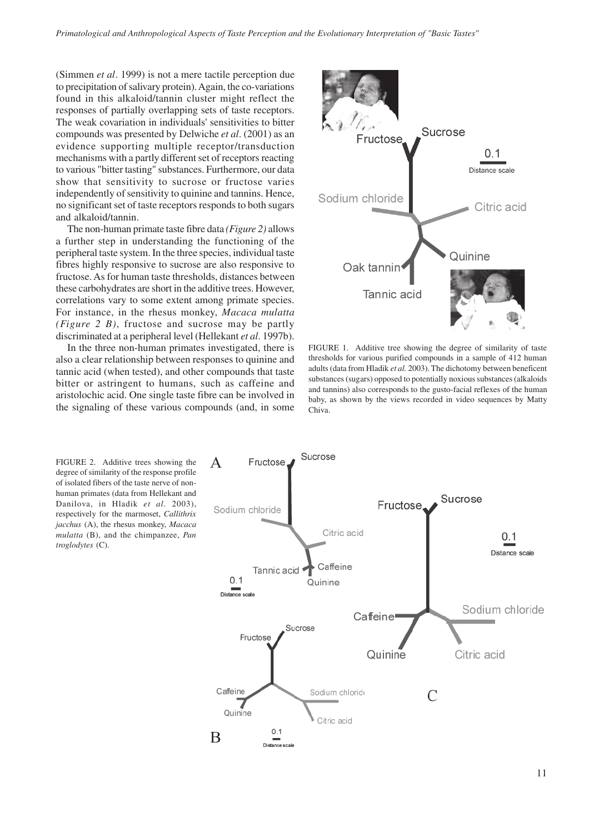(Simmen *et al*. 1999) is not a mere tactile perception due to precipitation of salivary protein). Again, the co-variations found in this alkaloid/tannin cluster might reflect the responses of partially overlapping sets of taste receptors. The weak covariation in individuals' sensitivities to bitter compounds was presented by Delwiche *et al*. (2001) as an evidence supporting multiple receptor/transduction mechanisms with a partly different set of receptors reacting to various "bitter tasting" substances. Furthermore, our data show that sensitivity to sucrose or fructose varies independently of sensitivity to quinine and tannins. Hence, no significant set of taste receptors responds to both sugars and alkaloid/tannin.

The non-human primate taste fibre data *(Figure 2)* allows a further step in understanding the functioning of the peripheral taste system. In the three species, individual taste fibres highly responsive to sucrose are also responsive to fructose. As for human taste thresholds, distances between these carbohydrates are short in the additive trees. However, correlations vary to some extent among primate species. For instance, in the rhesus monkey, *Macaca mulatta (Figure 2 B)*, fructose and sucrose may be partly discriminated at a peripheral level (Hellekant *et al*. 1997b).

In the three non-human primates investigated, there is also a clear relationship between responses to quinine and tannic acid (when tested), and other compounds that taste bitter or astringent to humans, such as caffeine and aristolochic acid. One single taste fibre can be involved in the signaling of these various compounds (and, in some



FIGURE 1. Additive tree showing the degree of similarity of taste thresholds for various purified compounds in a sample of 412 human adults (data from Hladik *et al.* 2003). The dichotomy between beneficent substances (sugars) opposed to potentially noxious substances (alkaloids and tannins) also corresponds to the gusto-facial reflexes of the human baby, as shown by the views recorded in video sequences by Matty Chiva.

FIGURE 2. Additive trees showing the degree of similarity of the response profile of isolated fibers of the taste nerve of nonhuman primates (data from Hellekant and Danilova, in Hladik *et al.* 2003), respectively for the marmoset, *Callithrix jacchus* (A), the rhesus monkey, *Macaca mulatta* (B), and the chimpanzee, *Pan troglodytes* (C).

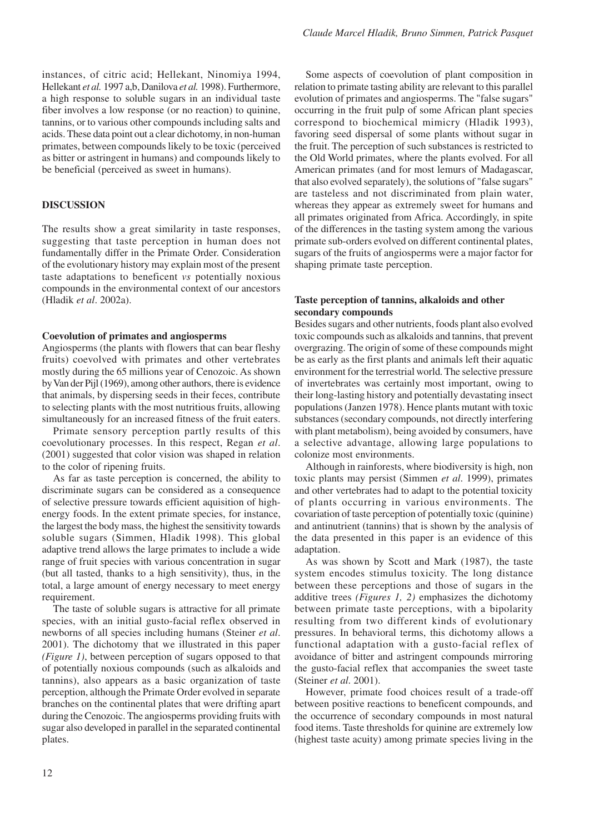instances, of citric acid; Hellekant, Ninomiya 1994, Hellekant *et al.* 1997 a,b, Danilova *et al.* 1998). Furthermore, a high response to soluble sugars in an individual taste fiber involves a low response (or no reaction) to quinine, tannins, or to various other compounds including salts and acids. These data point out a clear dichotomy, in non-human primates, between compounds likely to be toxic (perceived as bitter or astringent in humans) and compounds likely to be beneficial (perceived as sweet in humans).

# **DISCUSSION**

The results show a great similarity in taste responses, suggesting that taste perception in human does not fundamentally differ in the Primate Order. Consideration of the evolutionary history may explain most of the present taste adaptations to beneficent *vs* potentially noxious compounds in the environmental context of our ancestors (Hladik *et al*. 2002a).

## **Coevolution of primates and angiosperms**

Angiosperms (the plants with flowers that can bear fleshy fruits) coevolved with primates and other vertebrates mostly during the 65 millions year of Cenozoic. As shown by Van der Pijl (1969), among other authors, there is evidence that animals, by dispersing seeds in their feces, contribute to selecting plants with the most nutritious fruits, allowing simultaneously for an increased fitness of the fruit eaters.

Primate sensory perception partly results of this coevolutionary processes. In this respect, Regan *et al*. (2001) suggested that color vision was shaped in relation to the color of ripening fruits.

As far as taste perception is concerned, the ability to discriminate sugars can be considered as a consequence of selective pressure towards efficient aquisition of highenergy foods. In the extent primate species, for instance, the largest the body mass, the highest the sensitivity towards soluble sugars (Simmen, Hladik 1998). This global adaptive trend allows the large primates to include a wide range of fruit species with various concentration in sugar (but all tasted, thanks to a high sensitivity), thus, in the total, a large amount of energy necessary to meet energy requirement.

The taste of soluble sugars is attractive for all primate species, with an initial gusto-facial reflex observed in newborns of all species including humans (Steiner *et al*. 2001). The dichotomy that we illustrated in this paper *(Figure 1)*, between perception of sugars opposed to that of potentially noxious compounds (such as alkaloids and tannins), also appears as a basic organization of taste perception, although the Primate Order evolved in separate branches on the continental plates that were drifting apart during the Cenozoic. The angiosperms providing fruits with sugar also developed in parallel in the separated continental plates.

Some aspects of coevolution of plant composition in relation to primate tasting ability are relevant to this parallel evolution of primates and angiosperms. The "false sugars" occurring in the fruit pulp of some African plant species correspond to biochemical mimicry (Hladik 1993), favoring seed dispersal of some plants without sugar in the fruit. The perception of such substances is restricted to the Old World primates, where the plants evolved. For all American primates (and for most lemurs of Madagascar, that also evolved separately), the solutions of "false sugars" are tasteless and not discriminated from plain water, whereas they appear as extremely sweet for humans and all primates originated from Africa. Accordingly, in spite of the differences in the tasting system among the various primate sub-orders evolved on different continental plates, sugars of the fruits of angiosperms were a major factor for shaping primate taste perception.

# **Taste perception of tannins, alkaloids and other secondary compounds**

Besides sugars and other nutrients, foods plant also evolved toxic compounds such as alkaloids and tannins, that prevent overgrazing. The origin of some of these compounds might be as early as the first plants and animals left their aquatic environment for the terrestrial world. The selective pressure of invertebrates was certainly most important, owing to their long-lasting history and potentially devastating insect populations (Janzen 1978). Hence plants mutant with toxic substances (secondary compounds, not directly interfering with plant metabolism), being avoided by consumers, have a selective advantage, allowing large populations to colonize most environments.

Although in rainforests, where biodiversity is high, non toxic plants may persist (Simmen *et al*. 1999), primates and other vertebrates had to adapt to the potential toxicity of plants occurring in various environments. The covariation of taste perception of potentially toxic (quinine) and antinutrient (tannins) that is shown by the analysis of the data presented in this paper is an evidence of this adaptation.

As was shown by Scott and Mark (1987), the taste system encodes stimulus toxicity. The long distance between these perceptions and those of sugars in the additive trees *(Figures 1, 2)* emphasizes the dichotomy between primate taste perceptions, with a bipolarity resulting from two different kinds of evolutionary pressures. In behavioral terms, this dichotomy allows a functional adaptation with a gusto-facial reflex of avoidance of bitter and astringent compounds mirroring the gusto-facial reflex that accompanies the sweet taste (Steiner *et al*. 2001).

However, primate food choices result of a trade-off between positive reactions to beneficent compounds, and the occurrence of secondary compounds in most natural food items. Taste thresholds for quinine are extremely low (highest taste acuity) among primate species living in the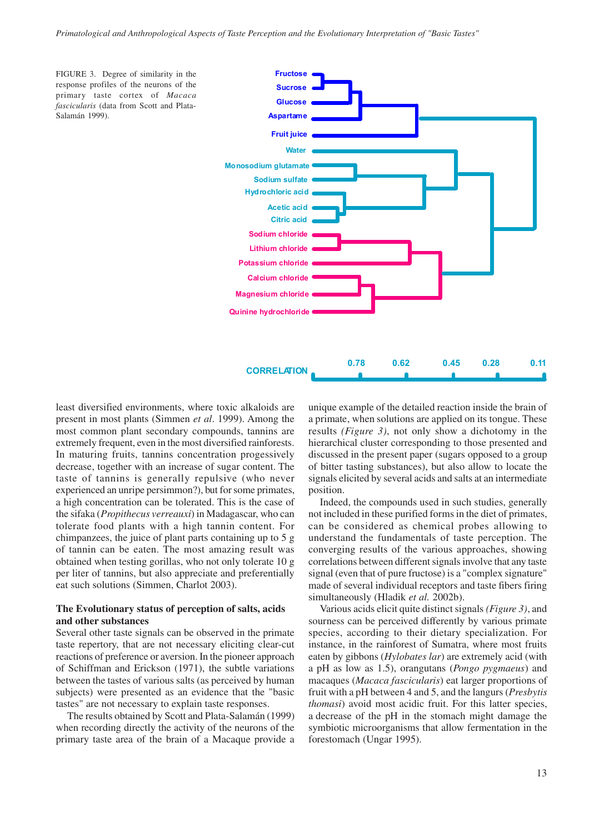

least diversified environments, where toxic alkaloids are present in most plants (Simmen *et al*. 1999). Among the most common plant secondary compounds, tannins are extremely frequent, even in the most diversified rainforests. In maturing fruits, tannins concentration progessively decrease, together with an increase of sugar content. The taste of tannins is generally repulsive (who never experienced an unripe persimmon?), but for some primates, a high concentration can be tolerated. This is the case of the sifaka (*Propithecus verreauxi*) in Madagascar, who can tolerate food plants with a high tannin content. For chimpanzees, the juice of plant parts containing up to 5 g of tannin can be eaten. The most amazing result was obtained when testing gorillas, who not only tolerate 10 g per liter of tannins, but also appreciate and preferentially eat such solutions (Simmen, Charlot 2003).

## **The Evolutionary status of perception of salts, acids and other substances**

Several other taste signals can be observed in the primate taste repertory, that are not necessary eliciting clear-cut reactions of preference or aversion. In the pioneer approach of Schiffman and Erickson (1971), the subtle variations between the tastes of various salts (as perceived by human subjects) were presented as an evidence that the "basic tastes" are not necessary to explain taste responses.

The results obtained by Scott and Plata-Salamán (1999) when recording directly the activity of the neurons of the primary taste area of the brain of a Macaque provide a unique example of the detailed reaction inside the brain of a primate, when solutions are applied on its tongue. These results *(Figure 3)*, not only show a dichotomy in the hierarchical cluster corresponding to those presented and discussed in the present paper (sugars opposed to a group of bitter tasting substances), but also allow to locate the signals elicited by several acids and salts at an intermediate position.

Indeed, the compounds used in such studies, generally not included in these purified forms in the diet of primates, can be considered as chemical probes allowing to understand the fundamentals of taste perception. The converging results of the various approaches, showing correlations between different signals involve that any taste signal (even that of pure fructose) is a "complex signature" made of several individual receptors and taste fibers firing simultaneously (Hladik *et al.* 2002b).

Various acids elicit quite distinct signals *(Figure 3)*, and sourness can be perceived differently by various primate species, according to their dietary specialization. For instance, in the rainforest of Sumatra, where most fruits eaten by gibbons (*Hylobates lar*) are extremely acid (with a pH as low as 1.5), orangutans (*Pongo pygmaeus*) and macaques (*Macaca fascicularis*) eat larger proportions of fruit with a pH between 4 and 5, and the langurs (*Presbytis thomasi*) avoid most acidic fruit. For this latter species, a decrease of the pH in the stomach might damage the symbiotic microorganisms that allow fermentation in the forestomach (Ungar 1995).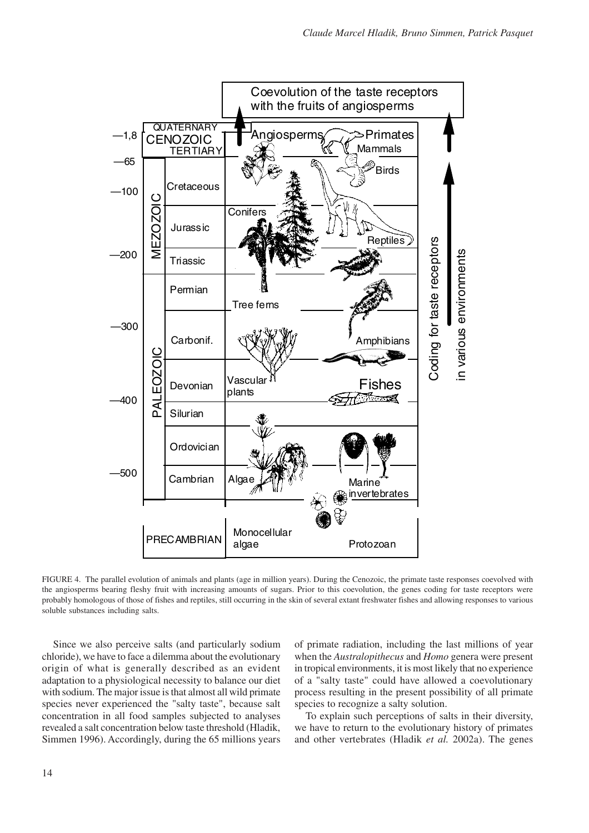

FIGURE 4. The parallel evolution of animals and plants (age in million years). During the Cenozoic, the primate taste responses coevolved with the angiosperms bearing fleshy fruit with increasing amounts of sugars. Prior to this coevolution, the genes coding for taste receptors were probably homologous of those of fishes and reptiles, still occurring in the skin of several extant freshwater fishes and allowing responses to various soluble substances including salts.

Since we also perceive salts (and particularly sodium chloride), we have to face a dilemma about the evolutionary origin of what is generally described as an evident adaptation to a physiological necessity to balance our diet with sodium. The major issue is that almost all wild primate species never experienced the "salty taste", because salt concentration in all food samples subjected to analyses revealed a salt concentration below taste threshold (Hladik, Simmen 1996). Accordingly, during the 65 millions years

of primate radiation, including the last millions of year when the *Australopithecus* and *Homo* genera were present in tropical environments, it is most likely that no experience of a "salty taste" could have allowed a coevolutionary process resulting in the present possibility of all primate species to recognize a salty solution.

To explain such perceptions of salts in their diversity, we have to return to the evolutionary history of primates and other vertebrates (Hladik *et al.* 2002a). The genes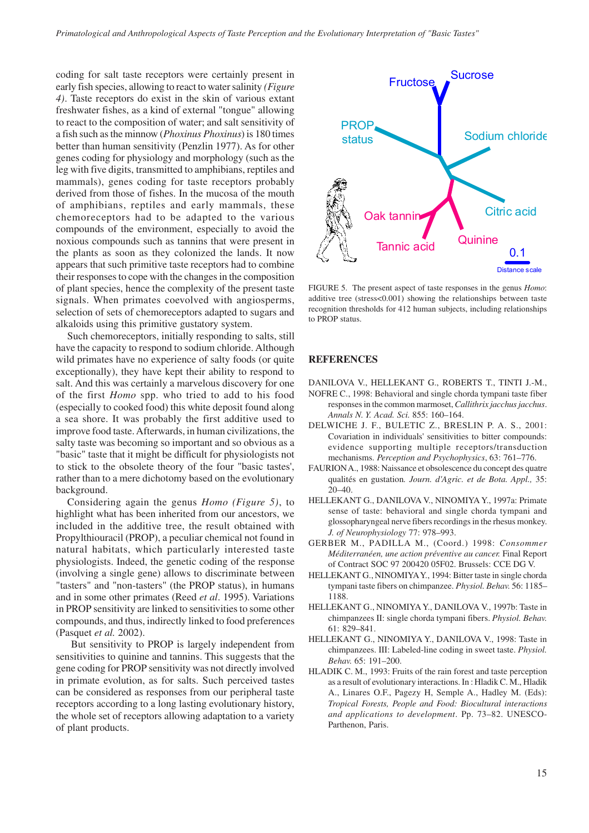coding for salt taste receptors were certainly present in early fish species, allowing to react to water salinity *(Figure 4)*. Taste receptors do exist in the skin of various extant freshwater fishes, as a kind of external "tongue" allowing to react to the composition of water; and salt sensitivity of a fish such as the minnow (*Phoxinus Phoxinus*) is 180 times better than human sensitivity (Penzlin 1977). As for other genes coding for physiology and morphology (such as the leg with five digits, transmitted to amphibians, reptiles and mammals), genes coding for taste receptors probably derived from those of fishes. In the mucosa of the mouth of amphibians, reptiles and early mammals, these chemoreceptors had to be adapted to the various compounds of the environment, especially to avoid the noxious compounds such as tannins that were present in the plants as soon as they colonized the lands. It now appears that such primitive taste receptors had to combine their responses to cope with the changes in the composition of plant species, hence the complexity of the present taste signals. When primates coevolved with angiosperms, selection of sets of chemoreceptors adapted to sugars and alkaloids using this primitive gustatory system.

Such chemoreceptors, initially responding to salts, still have the capacity to respond to sodium chloride. Although wild primates have no experience of salty foods (or quite exceptionally), they have kept their ability to respond to salt. And this was certainly a marvelous discovery for one of the first *Homo* spp. who tried to add to his food (especially to cooked food) this white deposit found along a sea shore. It was probably the first additive used to improve food taste. Afterwards, in human civilizations, the salty taste was becoming so important and so obvious as a "basic" taste that it might be difficult for physiologists not to stick to the obsolete theory of the four "basic tastes', rather than to a mere dichotomy based on the evolutionary background.

Considering again the genus *Homo (Figure 5)*, to highlight what has been inherited from our ancestors, we included in the additive tree, the result obtained with Propylthiouracil (PROP), a peculiar chemical not found in natural habitats, which particularly interested taste physiologists. Indeed, the genetic coding of the response (involving a single gene) allows to discriminate between "tasters" and "non-tasters" (the PROP status), in humans and in some other primates (Reed *et al*. 1995). Variations in PROP sensitivity are linked to sensitivities to some other compounds, and thus, indirectly linked to food preferences (Pasquet *et al.* 2002).

 But sensitivity to PROP is largely independent from sensitivities to quinine and tannins. This suggests that the gene coding for PROP sensitivity was not directly involved in primate evolution, as for salts. Such perceived tastes can be considered as responses from our peripheral taste receptors according to a long lasting evolutionary history, the whole set of receptors allowing adaptation to a variety of plant products.



FIGURE 5. The present aspect of taste responses in the genus *Homo*: additive tree (stress<0.001) showing the relationships between taste recognition thresholds for 412 human subjects, including relationships to PROP status.

#### **REFERENCES**

- DANILOVA V., HELLEKANT G., ROBERTS T., TINTI J.-M.,
- NOFRE C., 1998: Behavioral and single chorda tympani taste fiber responses in the common marmoset, *Callithrix jacchus jacchus*. *Annals N. Y. Acad. Sci.* 855: 160–164.
- DELWICHE J. F., BULETIC Z., BRESLIN P. A. S., 2001: Covariation in individuals' sensitivities to bitter compounds: evidence supporting multiple receptors/transduction mechanisms. *Perception and Psychophysics*, 63: 761–776.
- FAURION A., 1988: Naissance et obsolescence du concept des quatre qualités en gustation*. Journ. d'Agric. et de Bota. Appl.,* 35: 20–40.
- HELLEKANT G., DANILOVA V., NINOMIYA Y., 1997a: Primate sense of taste: behavioral and single chorda tympani and glossopharyngeal nerve fibers recordings in the rhesus monkey. *J. of Neurophysiology* 77: 978–993.
- GERBER M., PADILLA M., (Coord.) 1998: *Consommer Méditerranéen, une action préventive au cancer.* Final Report of Contract SOC 97 200420 05F02. Brussels: CCE DG V.
- HELLEKANT G., NINOMIYA Y., 1994: Bitter taste in single chorda tympani taste fibers on chimpanzee. *Physiol. Behav.* 56: 1185– 1188.
- HELLEKANT G., NINOMIYA Y., DANILOVA V., 1997b: Taste in chimpanzees II: single chorda tympani fibers. *Physiol. Behav.* 61: 829–841.
- HELLEKANT G., NINOMIYA Y., DANILOVA V., 1998: Taste in chimpanzees. III: Labeled-line coding in sweet taste. *Physiol. Behav.* 65: 191–200.
- HLADIK C. M., 1993: Fruits of the rain forest and taste perception as a result of evolutionary interactions. In : Hladik C. M., Hladik A., Linares O.F., Pagezy H, Semple A., Hadley M. (Eds): *Tropical Forests, People and Food: Biocultural interactions and applications to development*. Pp. 73–82. UNESCO-Parthenon, Paris.